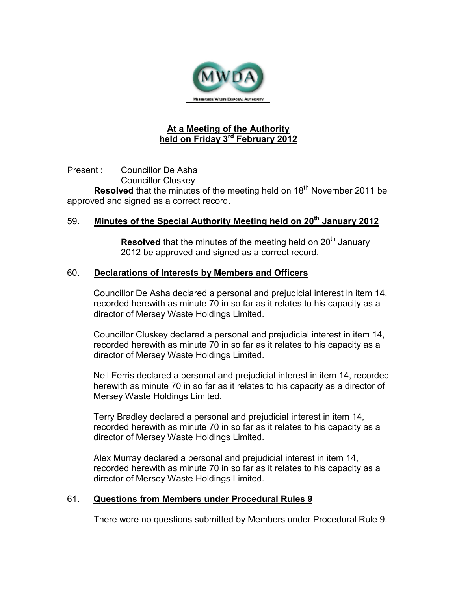

# **At a Meeting of the Authority held on Friday 3rd February 2012**

Present : Councillor De Asha Councillor Cluskey **Resolved** that the minutes of the meeting held on 18<sup>th</sup> November 2011 be approved and signed as a correct record.

## 59. **Minutes of the Special Authority Meeting held on 20th January 2012**

**Resolved** that the minutes of the meeting held on 20<sup>th</sup> January 2012 be approved and signed as a correct record.

#### 60. **Declarations of Interests by Members and Officers**

Councillor De Asha declared a personal and prejudicial interest in item 14, recorded herewith as minute 70 in so far as it relates to his capacity as a director of Mersey Waste Holdings Limited.

Councillor Cluskey declared a personal and prejudicial interest in item 14, recorded herewith as minute 70 in so far as it relates to his capacity as a director of Mersey Waste Holdings Limited.

Neil Ferris declared a personal and prejudicial interest in item 14, recorded herewith as minute 70 in so far as it relates to his capacity as a director of Mersey Waste Holdings Limited.

Terry Bradley declared a personal and prejudicial interest in item 14, recorded herewith as minute 70 in so far as it relates to his capacity as a director of Mersey Waste Holdings Limited.

Alex Murray declared a personal and prejudicial interest in item 14, recorded herewith as minute 70 in so far as it relates to his capacity as a director of Mersey Waste Holdings Limited.

### 61. **Questions from Members under Procedural Rules 9**

There were no questions submitted by Members under Procedural Rule 9.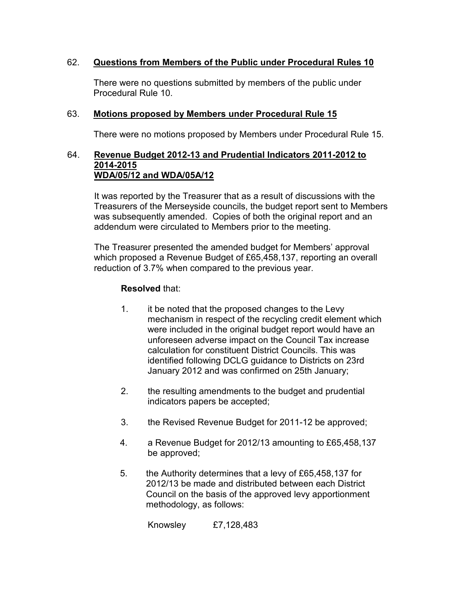## 62. **Questions from Members of the Public under Procedural Rules 10**

 There were no questions submitted by members of the public under Procedural Rule 10.

## 63. **Motions proposed by Members under Procedural Rule 15**

There were no motions proposed by Members under Procedural Rule 15.

#### 64. **Revenue Budget 2012-13 and Prudential Indicators 2011-2012 to 2014-2015 WDA/05/12 and WDA/05A/12**

It was reported by the Treasurer that as a result of discussions with the Treasurers of the Merseyside councils, the budget report sent to Members was subsequently amended. Copies of both the original report and an addendum were circulated to Members prior to the meeting.

The Treasurer presented the amended budget for Members' approval which proposed a Revenue Budget of £65,458,137, reporting an overall reduction of 3.7% when compared to the previous year.

## **Resolved** that:

- 1. it be noted that the proposed changes to the Levy mechanism in respect of the recycling credit element which were included in the original budget report would have an unforeseen adverse impact on the Council Tax increase calculation for constituent District Councils. This was identified following DCLG guidance to Districts on 23rd January 2012 and was confirmed on 25th January;
- 2. the resulting amendments to the budget and prudential indicators papers be accepted;
- 3. the Revised Revenue Budget for 2011-12 be approved;
- 4. a Revenue Budget for 2012/13 amounting to £65,458,137 be approved;
- 5. the Authority determines that a levy of £65,458,137 for 2012/13 be made and distributed between each District Council on the basis of the approved levy apportionment methodology, as follows:

Knowsley £7,128,483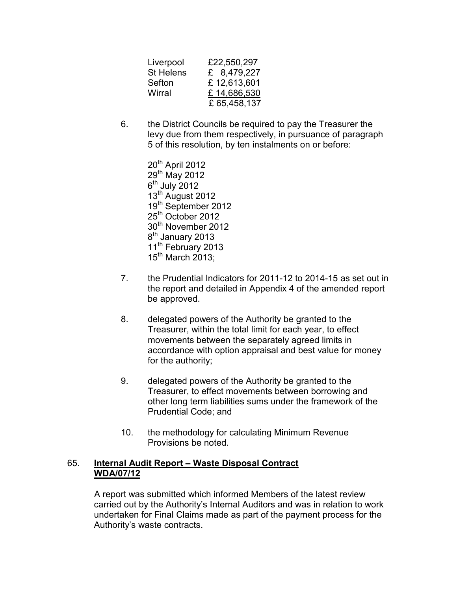| Liverpool        | £22,550,297  |
|------------------|--------------|
| <b>St Helens</b> | £ 8,479,227  |
| Sefton           | £12,613,601  |
| Wirral           | £14,686,530  |
|                  | £ 65,458,137 |

6. the District Councils be required to pay the Treasurer the levy due from them respectively, in pursuance of paragraph 5 of this resolution, by ten instalments on or before:

> 20<sup>th</sup> April 2012 29<sup>th</sup> May 2012  $6<sup>th</sup>$  July 2012 13<sup>th</sup> August 2012 19th September 2012 25<sup>th</sup> October 2012 30<sup>th</sup> November 2012 8<sup>th</sup> January 2013 11<sup>th</sup> February 2013  $15<sup>th</sup>$  March 2013:

- 7. the Prudential Indicators for 2011-12 to 2014-15 as set out in the report and detailed in Appendix 4 of the amended report be approved.
- 8. delegated powers of the Authority be granted to the Treasurer, within the total limit for each year, to effect movements between the separately agreed limits in accordance with option appraisal and best value for money for the authority;
- 9. delegated powers of the Authority be granted to the Treasurer, to effect movements between borrowing and other long term liabilities sums under the framework of the Prudential Code; and
- 10. the methodology for calculating Minimum Revenue Provisions be noted.

### 65. **Internal Audit Report – Waste Disposal Contract WDA/07/12**

A report was submitted which informed Members of the latest review carried out by the Authority's Internal Auditors and was in relation to work undertaken for Final Claims made as part of the payment process for the Authority's waste contracts.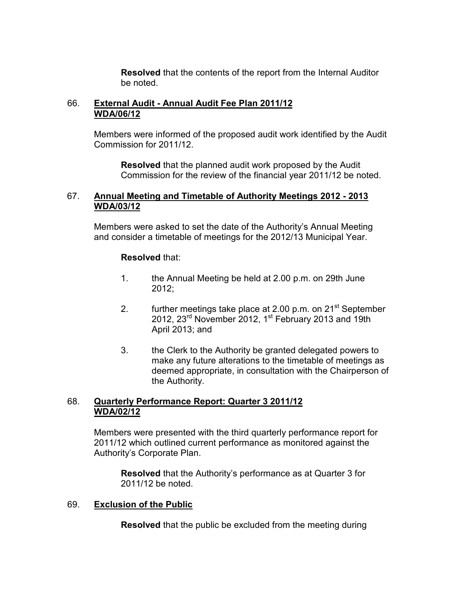**Resolved** that the contents of the report from the Internal Auditor be noted.

## 66. **External Audit - Annual Audit Fee Plan 2011/12 WDA/06/12**

Members were informed of the proposed audit work identified by the Audit Commission for 2011/12.

**Resolved** that the planned audit work proposed by the Audit Commission for the review of the financial year 2011/12 be noted.

### 67. **Annual Meeting and Timetable of Authority Meetings 2012 - 2013 WDA/03/12**

Members were asked to set the date of the Authority's Annual Meeting and consider a timetable of meetings for the 2012/13 Municipal Year.

## **Resolved** that:

- 1. the Annual Meeting be held at 2.00 p.m. on 29th June 2012;
- 2. further meetings take place at  $2.00$  p.m. on  $21<sup>st</sup>$  September 2012, 23<sup>rd</sup> November 2012, 1<sup>st</sup> February 2013 and 19th April 2013; and
- 3. the Clerk to the Authority be granted delegated powers to make any future alterations to the timetable of meetings as deemed appropriate, in consultation with the Chairperson of the Authority.

## 68. **Quarterly Performance Report: Quarter 3 2011/12 WDA/02/12**

Members were presented with the third quarterly performance report for 2011/12 which outlined current performance as monitored against the Authority's Corporate Plan.

**Resolved** that the Authority's performance as at Quarter 3 for 2011/12 be noted.

### 69. **Exclusion of the Public**

**Resolved** that the public be excluded from the meeting during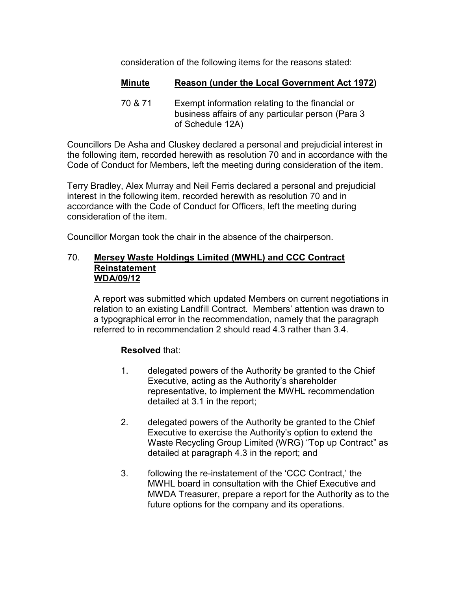consideration of the following items for the reasons stated:

# **Minute Reason (under the Local Government Act 1972)**

70 & 71 Exempt information relating to the financial or business affairs of any particular person (Para 3 of Schedule 12A)

Councillors De Asha and Cluskey declared a personal and prejudicial interest in the following item, recorded herewith as resolution 70 and in accordance with the Code of Conduct for Members, left the meeting during consideration of the item.

Terry Bradley, Alex Murray and Neil Ferris declared a personal and prejudicial interest in the following item, recorded herewith as resolution 70 and in accordance with the Code of Conduct for Officers, left the meeting during consideration of the item.

Councillor Morgan took the chair in the absence of the chairperson.

#### 70. **Mersey Waste Holdings Limited (MWHL) and CCC Contract Reinstatement WDA/09/12**

A report was submitted which updated Members on current negotiations in relation to an existing Landfill Contract. Members' attention was drawn to a typographical error in the recommendation, namely that the paragraph referred to in recommendation 2 should read 4.3 rather than 3.4.

# **Resolved** that:

- 1. delegated powers of the Authority be granted to the Chief Executive, acting as the Authority's shareholder representative, to implement the MWHL recommendation detailed at 3.1 in the report;
- 2. delegated powers of the Authority be granted to the Chief Executive to exercise the Authority's option to extend the Waste Recycling Group Limited (WRG) "Top up Contract" as detailed at paragraph 4.3 in the report; and
- 3. following the re-instatement of the 'CCC Contract,' the MWHL board in consultation with the Chief Executive and MWDA Treasurer, prepare a report for the Authority as to the future options for the company and its operations.